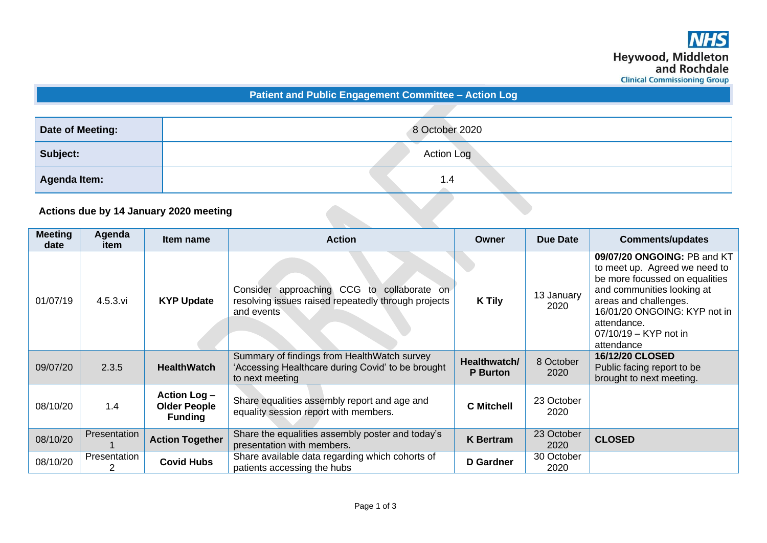**Patient and Public Engagement Committee – Action Log**

| Date of Meeting:                       | 8 October 2020 |  |  |
|----------------------------------------|----------------|--|--|
| Subject:                               | Action Log     |  |  |
| Agenda Item:                           | 1.4            |  |  |
| Actions due by 14 January 2020 meeting |                |  |  |

## **Actions due by 14 January 2020 meeting**

| <b>Meeting</b><br>date | Agenda<br>item | Item name                                             | <b>Action</b>                                                                                                        | Owner                           | Due Date           | <b>Comments/updates</b>                                                                                                                                                                                                                     |
|------------------------|----------------|-------------------------------------------------------|----------------------------------------------------------------------------------------------------------------------|---------------------------------|--------------------|---------------------------------------------------------------------------------------------------------------------------------------------------------------------------------------------------------------------------------------------|
| 01/07/19               | $4.5.3.$ vi    | <b>KYP Update</b>                                     | Consider approaching CCG<br>to collaborate on<br>resolving issues raised repeatedly through projects<br>and events   | <b>K</b> Tily                   | 13 January<br>2020 | 09/07/20 ONGOING: PB and KT<br>to meet up. Agreed we need to<br>be more focussed on equalities<br>and communities looking at<br>areas and challenges.<br>16/01/20 ONGOING: KYP not in<br>attendance.<br>07/10/19 - KYP not in<br>attendance |
| 09/07/20               | 2.3.5          | <b>HealthWatch</b>                                    | Summary of findings from Health Watch survey<br>'Accessing Healthcare during Covid' to be brought<br>to next meeting | Healthwatch/<br><b>P</b> Burton | 8 October<br>2020  | 16/12/20 CLOSED<br>Public facing report to be<br>brought to next meeting.                                                                                                                                                                   |
| 08/10/20               | 1.4            | Action Log -<br><b>Older People</b><br><b>Funding</b> | Share equalities assembly report and age and<br>equality session report with members.                                | <b>C</b> Mitchell               | 23 October<br>2020 |                                                                                                                                                                                                                                             |
| 08/10/20               | Presentation   | <b>Action Together</b>                                | Share the equalities assembly poster and today's<br>presentation with members.                                       | <b>K</b> Bertram                | 23 October<br>2020 | <b>CLOSED</b>                                                                                                                                                                                                                               |
| 08/10/20               | Presentation   | <b>Covid Hubs</b>                                     | Share available data regarding which cohorts of<br>patients accessing the hubs                                       | <b>D</b> Gardner                | 30 October<br>2020 |                                                                                                                                                                                                                                             |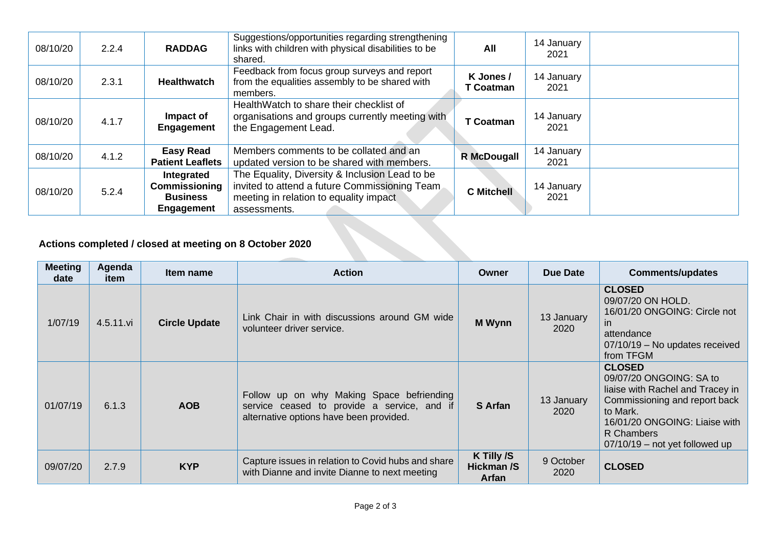| 08/10/20                                                | 2.2.4 | <b>RADDAG</b>                                                | Suggestions/opportunities regarding strengthening<br>links with children with physical disabilities to be<br>shared.                                      | All                           | 14 January<br>2021 |  |
|---------------------------------------------------------|-------|--------------------------------------------------------------|-----------------------------------------------------------------------------------------------------------------------------------------------------------|-------------------------------|--------------------|--|
| 08/10/20                                                | 2.3.1 | <b>Healthwatch</b>                                           | Feedback from focus group surveys and report<br>from the equalities assembly to be shared with<br>members.                                                | K Jones /<br><b>T</b> Coatman | 14 January<br>2021 |  |
| 08/10/20                                                | 4.1.7 | Impact of<br><b>Engagement</b>                               | Health Watch to share their checklist of<br>organisations and groups currently meeting with<br>the Engagement Lead.                                       | <b>T</b> Coatman              | 14 January<br>2021 |  |
| 08/10/20                                                | 4.1.2 | <b>Easy Read</b><br><b>Patient Leaflets</b>                  | Members comments to be collated and an<br>updated version to be shared with members.                                                                      | <b>R</b> McDougall            | 14 January<br>2021 |  |
| 08/10/20                                                | 5.2.4 | Integrated<br>Commissioning<br><b>Business</b><br>Engagement | The Equality, Diversity & Inclusion Lead to be<br>invited to attend a future Commissioning Team<br>meeting in relation to equality impact<br>assessments. | <b>C</b> Mitchell             | 14 January<br>2021 |  |
| Actions completed / closed at meeting on 8 October 2020 |       |                                                              |                                                                                                                                                           |                               |                    |  |

## **Actions completed / closed at meeting on 8 October 2020**

| <b>Meeting</b><br>date | Agenda<br>item | Item name            | <b>Action</b>                                                                                                                       | Owner                             | Due Date           | <b>Comments/updates</b>                                                                                                                                                                                      |
|------------------------|----------------|----------------------|-------------------------------------------------------------------------------------------------------------------------------------|-----------------------------------|--------------------|--------------------------------------------------------------------------------------------------------------------------------------------------------------------------------------------------------------|
| 1/07/19                | 4.5.11.vi      | <b>Circle Update</b> | Link Chair in with discussions around GM wide<br>volunteer driver service.                                                          | <b>M</b> Wynn                     | 13 January<br>2020 | <b>CLOSED</b><br>09/07/20 ON HOLD.<br>16/01/20 ONGOING: Circle not<br>in.<br>attendance<br>07/10/19 - No updates received<br>from TFGM                                                                       |
| 01/07/19               | 6.1.3          | <b>AOB</b>           | Follow up on why Making Space befriending<br>service ceased to provide a service, and if<br>alternative options have been provided. | S Arfan                           | 13 January<br>2020 | <b>CLOSED</b><br>09/07/20 ONGOING: SA to<br>liaise with Rachel and Tracey in<br>Commissioning and report back<br>to Mark.<br>16/01/20 ONGOING: Liaise with<br>R Chambers<br>$07/10/19$ – not yet followed up |
| 09/07/20               | 2.7.9          | <b>KYP</b>           | Capture issues in relation to Covid hubs and share<br>with Dianne and invite Dianne to next meeting                                 | K Tilly /S<br>Hickman /S<br>Arfan | 9 October<br>2020  | <b>CLOSED</b>                                                                                                                                                                                                |